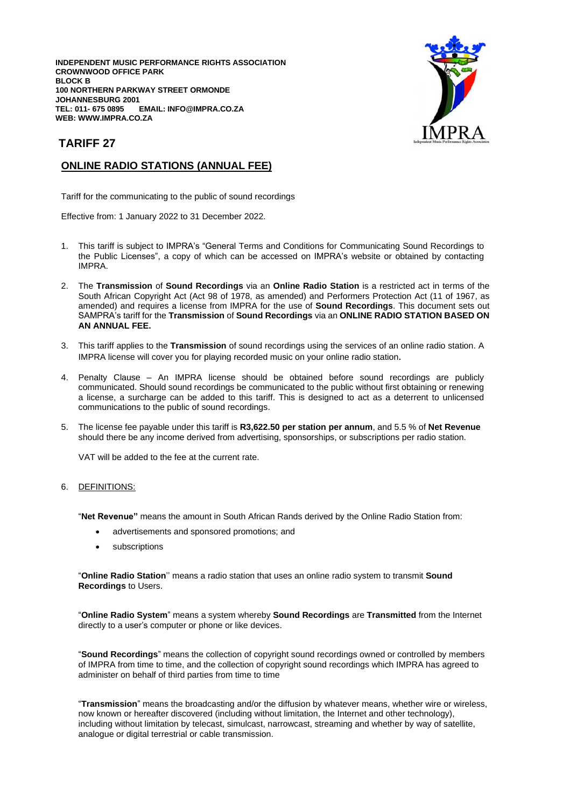**INDEPENDENT MUSIC PERFORMANCE RIGHTS ASSOCIATION CROWNWOOD OFFICE PARK BLOCK B 100 NORTHERN PARKWAY STREET ORMONDE JOHANNESBURG 2001**  $EMAIL: INFO@IMPRA.CO.ZA$ **WEB: WWW.IMPRA.CO.ZA**



## **TARIFF 27**

## **ONLINE RADIO STATIONS (ANNUAL FEE)**

Tariff for the communicating to the public of sound recordings

Effective from: 1 January 2022 to 31 December 2022.

- 1. This tariff is subject to IMPRA's "General Terms and Conditions for Communicating Sound Recordings to the Public Licenses", a copy of which can be accessed on IMPRA's website or obtained by contacting IMPRA.
- 2. The **Transmission** of **Sound Recordings** via an **Online Radio Station** is a restricted act in terms of the South African Copyright Act (Act 98 of 1978, as amended) and Performers Protection Act (11 of 1967, as amended) and requires a license from IMPRA for the use of **Sound Recordings**. This document sets out SAMPRA's tariff for the **Transmission** of **Sound Recordings** via an **ONLINE RADIO STATION BASED ON AN ANNUAL FEE.**
- 3. This tariff applies to the **Transmission** of sound recordings using the services of an online radio station. A IMPRA license will cover you for playing recorded music on your online radio station.
- 4. Penalty Clause An IMPRA license should be obtained before sound recordings are publicly communicated. Should sound recordings be communicated to the public without first obtaining or renewing a license, a surcharge can be added to this tariff. This is designed to act as a deterrent to unlicensed communications to the public of sound recordings.
- 5. The license fee payable under this tariff is **R3,622.50 per station per annum**, and 5.5 % of **Net Revenue** should there be any income derived from advertising, sponsorships, or subscriptions per radio station.

VAT will be added to the fee at the current rate.

## 6. DEFINITIONS:

"**Net Revenue"** means the amount in South African Rands derived by the Online Radio Station from:

- advertisements and sponsored promotions; and
- subscriptions

"**Online Radio Station**'' means a radio station that uses an online radio system to transmit **Sound Recordings** to Users.

"**Online Radio System**" means a system whereby **Sound Recordings** are **Transmitted** from the Internet directly to a user's computer or phone or like devices.

"**Sound Recordings**" means the collection of copyright sound recordings owned or controlled by members of IMPRA from time to time, and the collection of copyright sound recordings which IMPRA has agreed to administer on behalf of third parties from time to time

"**Transmission**" means the broadcasting and/or the diffusion by whatever means, whether wire or wireless, now known or hereafter discovered (including without limitation, the Internet and other technology), including without limitation by telecast, simulcast, narrowcast, streaming and whether by way of satellite, analogue or digital terrestrial or cable transmission.